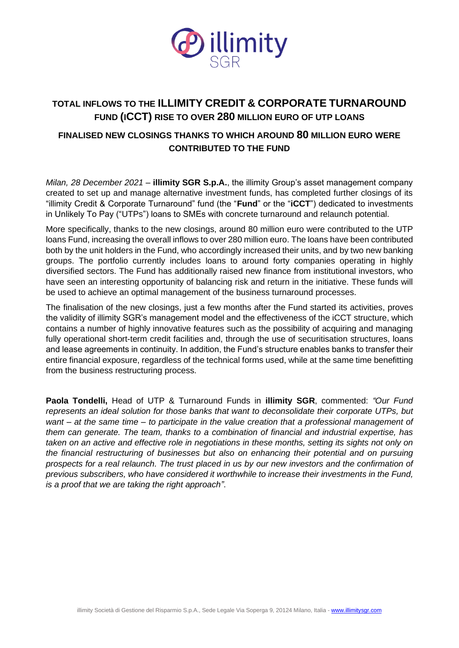

## **TOTAL INFLOWS TO THE ILLIMITY CREDIT & CORPORATE TURNAROUND FUND (ICCT) RISE TO OVER 280 MILLION EURO OF UTP LOANS**

### **FINALISED NEW CLOSINGS THANKS TO WHICH AROUND 80 MILLION EURO WERE CONTRIBUTED TO THE FUND**

*Milan, 28 December 2021* – **illimity SGR S.p.A.**, the illimity Group's asset management company created to set up and manage alternative investment funds, has completed further closings of its "illimity Credit & Corporate Turnaround" fund (the "**Fund**" or the "**iCCT**") dedicated to investments in Unlikely To Pay ("UTPs") loans to SMEs with concrete turnaround and relaunch potential.

More specifically, thanks to the new closings, around 80 million euro were contributed to the UTP loans Fund, increasing the overall inflows to over 280 million euro. The loans have been contributed both by the unit holders in the Fund, who accordingly increased their units, and by two new banking groups. The portfolio currently includes loans to around forty companies operating in highly diversified sectors. The Fund has additionally raised new finance from institutional investors, who have seen an interesting opportunity of balancing risk and return in the initiative. These funds will be used to achieve an optimal management of the business turnaround processes.

The finalisation of the new closings, just a few months after the Fund started its activities, proves the validity of illimity SGR's management model and the effectiveness of the iCCT structure, which contains a number of highly innovative features such as the possibility of acquiring and managing fully operational short-term credit facilities and, through the use of securitisation structures, loans and lease agreements in continuity. In addition, the Fund's structure enables banks to transfer their entire financial exposure, regardless of the technical forms used, while at the same time benefitting from the business restructuring process.

**Paola Tondelli,** Head of UTP & Turnaround Funds in **illimity SGR**, commented: *"Our Fund represents an ideal solution for those banks that want to deconsolidate their corporate UTPs, but want – at the same time – to participate in the value creation that a professional management of them can generate. The team, thanks to a combination of financial and industrial expertise, has taken on an active and effective role in negotiations in these months, setting its sights not only on the financial restructuring of businesses but also on enhancing their potential and on pursuing prospects for a real relaunch. The trust placed in us by our new investors and the confirmation of previous subscribers, who have considered it worthwhile to increase their investments in the Fund, is a proof that we are taking the right approach"*.